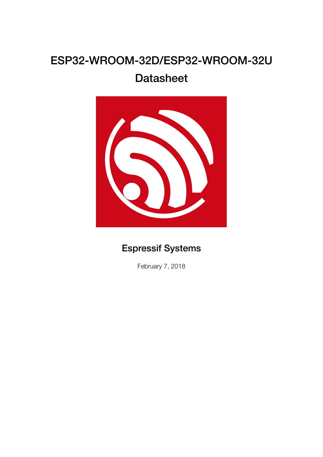# ESP32-WROOM-32D/ESP32-WROOM-32U

# **Datasheet**



# Espressif Systems

February 7, 2018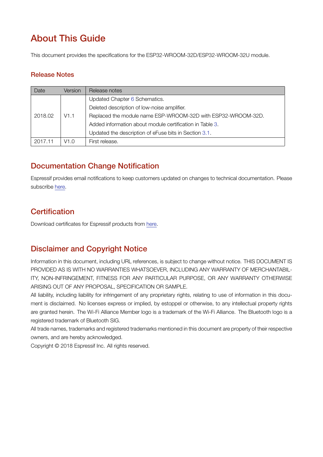# About This Guide

This document provides the specifications for the ESP32-WROOM-32D/ESP32-WROOM-32U module.

### Release Notes

| Date    | Version | Release notes                                                |
|---------|---------|--------------------------------------------------------------|
|         | V1.1    | Updated Chapter 6 Schematics.                                |
|         |         | Deleted description of low-noise amplifier.                  |
| 2018.02 |         | Replaced the module name ESP-WROOM-32D with ESP32-WROOM-32D. |
|         |         | Added information about module certification in Table 3.     |
|         |         | Updated the description of eFuse bits in Section 3.1.        |
| 2017.11 | V1.0    | First release.                                               |

## Documentation Change Notification

Espressif provides email notifications to keep customers updated on changes to technical documentation. Please subscribe here.

## **Certifi[cati](http://espressif.com/en/subscribe)on**

Download certificates for Espressif products from here.

## Disclaimer and Copyright Notic[e](http://espressif.com/en/certificates)

Information in this document, including URL references, is subject to change without notice. THIS DOCUMENT IS PROVIDED AS IS WITH NO WARRANTIES WHATSOEVER, INCLUDING ANY WARRANTY OF MERCHANTABIL-ITY, NON-INFRINGEMENT, FITNESS FOR ANY PARTICULAR PURPOSE, OR ANY WARRANTY OTHERWISE ARISING OUT OF ANY PROPOSAL, SPECIFICATION OR SAMPLE.

All liability, including liability for infringement of any proprietary rights, relating to use of information in this document is disclaimed. No licenses express or implied, by estoppel or otherwise, to any intellectual property rights are granted herein. The Wi-Fi Alliance Member logo is a trademark of the Wi-Fi Alliance. The Bluetooth logo is a registered trademark of Bluetooth SIG.

All trade names, trademarks and registered trademarks mentioned in this document are property of their respective owners, and are hereby acknowledged.

Copyright © 2018 Espressif Inc. All rights reserved.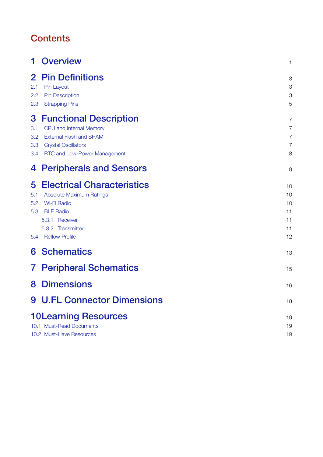# **Contents**

|                               | <b>Overview</b>                                                                                                                                                                | 1                                      |
|-------------------------------|--------------------------------------------------------------------------------------------------------------------------------------------------------------------------------|----------------------------------------|
| $\bf{2}$<br>2.1<br>2.2<br>2.3 | <b>Pin Definitions</b><br>Pin Layout<br><b>Pin Description</b><br><b>Strapping Pins</b>                                                                                        | 3<br>3<br>3<br>5                       |
| 3<br>3.1<br>3.2<br>3.3<br>3.4 | <b>Functional Description</b><br>CPU and Internal Memory<br><b>External Flash and SRAM</b><br><b>Crystal Oscillators</b><br>RTC and Low-Power Management                       | 7<br>7<br>7<br>7<br>8                  |
| 4                             | <b>Peripherals and Sensors</b>                                                                                                                                                 | 9                                      |
| 5<br>5.1<br>5.2<br>5.3<br>5.4 | <b>Electrical Characteristics</b><br><b>Absolute Maximum Ratings</b><br><b>Wi-Fi Radio</b><br><b>BLE Radio</b><br>5.3.1 Receiver<br>5.3.2 Transmitter<br><b>Reflow Profile</b> | 10<br>10<br>10<br>11<br>11<br>11<br>12 |
| 6                             | <b>Schematics</b>                                                                                                                                                              | 13                                     |
| $\mathbf{7}$                  | <b>Peripheral Schematics</b>                                                                                                                                                   | 15                                     |
| 8                             | <b>Dimensions</b>                                                                                                                                                              | 16                                     |
|                               | <b>9 U.FL Connector Dimensions</b>                                                                                                                                             | 18                                     |
|                               | <b>10Learning Resources</b><br>10.1 Must-Read Documents<br>10.2 Must-Have Resources                                                                                            | 19<br>19<br>19                         |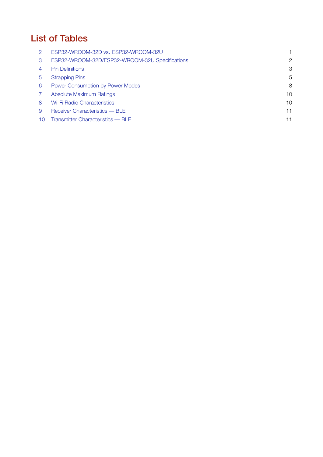# List of Tables

|                | ESP32-WROOM-32D vs. ESP32-WROOM-32U            |    |
|----------------|------------------------------------------------|----|
| 3              | ESP32-WROOM-32D/ESP32-WROOM-32U Specifications | 2  |
| $\overline{4}$ | <b>Pin Definitions</b>                         | 3  |
| 5              | <b>Strapping Pins</b>                          | 5  |
| 6              | Power Consumption by Power Modes               | 8  |
|                | <b>Absolute Maximum Ratings</b>                | 10 |
| 8              | Wi-Fi Radio Characteristics                    | 10 |
| 9              | Receiver Characteristics — BLE                 | 11 |
| 10             | Transmitter Characteristics - BLE              | 11 |
|                |                                                |    |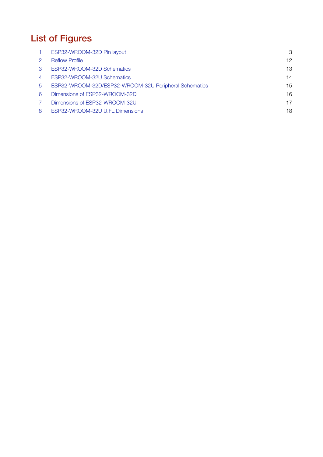# List of Figures

|   | ESP32-WROOM-32D Pin layout                            | 3               |
|---|-------------------------------------------------------|-----------------|
|   | <b>Reflow Profile</b>                                 | 12 <sup>°</sup> |
| 3 | ESP32-WROOM-32D Schematics                            | 13              |
| 4 | ESP32-WROOM-32U Schematics                            | 14              |
| 5 | ESP32-WROOM-32D/ESP32-WROOM-32U Peripheral Schematics | 15              |
| 6 | Dimensions of ESP32-WROOM-32D                         | 16              |
|   | Dimensions of ESP32-WROOM-32U                         | 17              |
| 8 | ESP32-WROOM-32U U.FL Dimensions                       | 18              |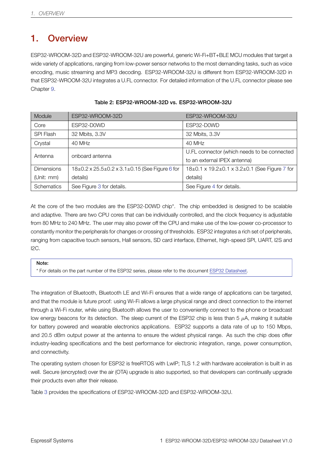# 1. Overview

<span id="page-5-0"></span>ESP32-WROOM-32D and ESP32-WROOM-32U are powerful, generic Wi-Fi+BT+BLE MCU modules that target a wide variety of applications, ranging from low-power sensor networks to the most demanding tasks, such as voice encoding, music streaming and MP3 decoding. ESP32-WROOM-32U is different from ESP32-WROOM-32D in that ESP32-WROOM-32U integrates a U.FL connector. For detailed information of the U.FL connector please see Chapter 9.

<span id="page-5-1"></span>

| Module            | ESP32-WROOM-32D                                | ESP32-WROOM-32U                               |  |
|-------------------|------------------------------------------------|-----------------------------------------------|--|
| Core              | ESP32-D0WD                                     | ESP32-D0WD                                    |  |
| <b>SPI Flash</b>  | 32 Mbits, 3.3V                                 | 32 Mbits, 3.3V                                |  |
| Crystal           | 40 MHz                                         | 40 MHz                                        |  |
| Antenna           | onboard antenna                                | U.FL connector (which needs to be connected   |  |
|                   |                                                | to an external IPEX antenna)                  |  |
| <b>Dimensions</b> | 18±0.2 x 25.5±0.2 x 3.1±0.15 (See Figure 6 for | 18±0.1 x 19.2±0.1 x 3.2±0.1 (See Figure 7 for |  |
| (Unit: $mm$ )     | details)                                       | details)                                      |  |
| Schematics        | See Figure 3 for details.                      | See Figure 4 for details.                     |  |

#### Table 2: ESP32-WROOM-32D vs. ESP32-WROOM-32U

At the core of the two modules are the ESP32-D0WD chip\*. The chip embedded is designed to be scalable and adaptive. There are two [C](#page-17-0)PU cores that can be individually controlled, an[d](#page-18-0) the clock frequency is adjustable from 80 MHz to 240 MHz. The user may also power off the CPU and make use of the low-power co-processor to constantly monitor the peripherals for changes or crossing of thresholds. ESP32 integrates a rich set of peripherals, ranging from capacitive touch sensors, Hall sensors, SD card interface, Ethernet, high-speed SPI, UART, I2S and I2C.

#### Note:

\* For details on the part number of the ESP32 series, please refer to the document ESP32 Datasheet.

The integration of Bluetooth, Bluetooth LE and Wi-Fi ensures that a wide range of applications can be targeted, and that the module is future proof: using Wi-Fi allows a large physical range [and direct conne](http://espressif.com/sites/default/files/documentation/esp32_datasheet_en.pdf)ction to the internet through a Wi-Fi router, while using Bluetooth allows the user to conveniently connect to the phone or broadcast low energy beacons for its detection. The sleep current of the ESP32 chip is less than 5 *µ*A, making it suitable for battery powered and wearable electronics applications. ESP32 supports a data rate of up to 150 Mbps, and 20.5 dBm output power at the antenna to ensure the widest physical range. As such the chip does offer industry-leading specifications and the best performance for electronic integration, range, power consumption, and connectivity.

The operating system chosen for ESP32 is freeRTOS with LwIP; TLS 1.2 with hardware acceleration is built in as well. Secure (encrypted) over the air (OTA) upgrade is also supported, so that developers can continually upgrade their products even after their release.

Table 3 provides the specifications of ESP32-WROOM-32D and ESP32-WROOM-32U.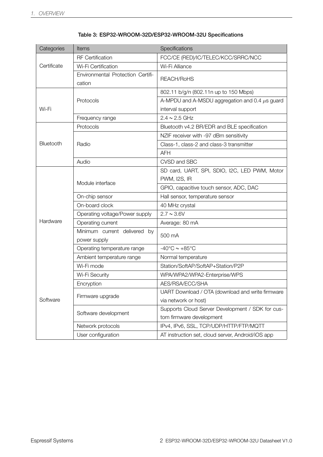<span id="page-6-0"></span>

| Categories           | Items                                        | Specifications                                      |
|----------------------|----------------------------------------------|-----------------------------------------------------|
|                      | <b>RF</b> Certification                      | FCC/CE (RED)/IC/TELEC/KCC/SRRC/NCC                  |
| Certificate          | Wi-Fi Certification                          | Wi-Fi Alliance                                      |
|                      | Environmental Protection Certifi-<br>cation  | REACH/RoHS                                          |
|                      |                                              | 802.11 b/g/n (802.11n up to 150 Mbps)               |
|                      | Protocols                                    | A-MPDU and A-MSDU aggregation and 0.4 $\mu$ s guard |
| Wi-Fi                |                                              | interval support                                    |
|                      | Frequency range                              | $2.4 \sim 2.5$ GHz                                  |
|                      | Protocols                                    | Bluetooth v4.2 BR/EDR and BLE specification         |
|                      |                                              | NZIF receiver with -97 dBm sensitivity              |
| Bluetooth            | Radio                                        | Class-1, class-2 and class-3 transmitter            |
|                      |                                              | <b>AFH</b>                                          |
|                      | Audio                                        | CVSD and SBC                                        |
|                      |                                              | SD card, UART, SPI, SDIO, I2C, LED PWM, Motor       |
|                      | Module interface                             | <b>PWM, I2S, IR</b>                                 |
|                      |                                              | GPIO, capacitive touch sensor, ADC, DAC             |
| Hardware<br>Software | On-chip sensor                               | Hall sensor, temperature sensor                     |
|                      | On-board clock                               | 40 MHz crystal                                      |
|                      | Operating voltage/Power supply               | $2.7 \sim 3.6 V$                                    |
|                      | Operating current                            | Average: 80 mA                                      |
|                      | Minimum current delivered by<br>power supply | 500 mA                                              |
|                      | Operating temperature range                  | $-40^{\circ}$ C ~ $+85^{\circ}$ C                   |
|                      | Ambient temperature range                    | Normal temperature                                  |
|                      | Wi-Fi mode                                   | Station/SoftAP/SoftAP+Station/P2P                   |
|                      | Wi-Fi Security                               | WPA/WPA2/WPA2-Enterprise/WPS                        |
|                      | Encryption                                   | AES/RSA/ECC/SHA                                     |
|                      | Firmware upgrade                             | UART Download / OTA (download and write firmware    |
|                      |                                              | via network or host)                                |
|                      | Software development                         | Supports Cloud Server Development / SDK for cus-    |
|                      |                                              | tom firmware development                            |
|                      | Network protocols                            | IPv4, IPv6, SSL, TCP/UDP/HTTP/FTP/MQTT              |
|                      | User configuration                           | AT instruction set, cloud server, Android/iOS app   |

Table 3: ESP32-WROOM-32D/ESP32-WROOM-32U Specifications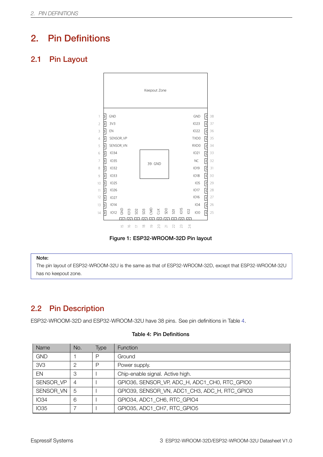# 2. Pin Definitions

### <span id="page-7-4"></span><span id="page-7-1"></span><span id="page-7-0"></span>2.1 Pin Layout



Figure 1: ESP32-WROOM-32D Pin layout

#### Note:

The pin layout of ESP32-WROOM-32U is the same as that of ESP32-WROOM-32D, except that ESP32-WROOM-32U has no keepout zone.

### 2.2 Pin Description

<span id="page-7-2"></span>ESP32-WROOM-32D and ESP32-WROOM-32U have 38 pins. See pin definitions in Table 4.

<span id="page-7-3"></span>

| Name            | No.            | Type | <b>Function</b>                               |
|-----------------|----------------|------|-----------------------------------------------|
| <b>GND</b>      |                | P    | Ground                                        |
| 3V <sub>3</sub> | 2              | P    | Power supply.                                 |
| EN              | 3              |      | Chip-enable signal. Active high.              |
| SENSOR VP       | $\overline{4}$ |      | GPIO36, SENSOR VP, ADC H, ADC1 CH0, RTC GPIO0 |
| SENSOR VN       | 5              |      | GPIO39, SENSOR VN, ADC1 CH3, ADC H, RTC GPIO3 |
| <b>IO34</b>     | 6              |      | GPIO34, ADC1 CH6, RTC GPIO4                   |
| <b>IO35</b>     |                |      | GPIO35, ADC1_CH7, RTC GPIO5                   |

#### Table 4: Pin Definitions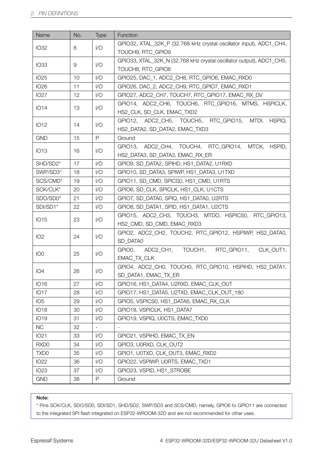| Name                                   | No.            | Type                                                 | Function                                                             |  |  |
|----------------------------------------|----------------|------------------------------------------------------|----------------------------------------------------------------------|--|--|
| <b>IO32</b>                            | 8              | 1/O                                                  | GPIO32, XTAL_32K_P (32.768 kHz crystal oscillator input), ADC1_CH4,  |  |  |
|                                        |                |                                                      | TOUCH9, RTC_GPIO9                                                    |  |  |
| <b>IO33</b>                            | 9              | 1/O                                                  | GPIO33, XTAL_32K_N (32.768 kHz crystal oscillator output), ADC1_CH5, |  |  |
|                                        |                |                                                      | TOUCH8, RTC GPIO8                                                    |  |  |
| <b>IO25</b>                            | 10             | 1/O                                                  | GPIO25, DAC_1, ADC2_CH8, RTC_GPIO6, EMAC_RXD0                        |  |  |
| <b>IO26</b>                            | 11             | 1/O                                                  | GPIO26, DAC_2, ADC2_CH9, RTC_GPIO7, EMAC_RXD1                        |  |  |
| <b>IO27</b>                            | 12             | 1/O                                                  | GPIO27, ADC2_CH7, TOUCH7, RTC_GPIO17, EMAC_RX_DV                     |  |  |
| <b>IO14</b><br>13                      |                | 1/O                                                  | GPIO14, ADC2_CH6, TOUCH6, RTC_GPIO16, MTMS, HSPICLK,                 |  |  |
|                                        |                |                                                      | HS2_CLK, SD_CLK, EMAC_TXD2                                           |  |  |
| IO12                                   | 14             | 1/O                                                  | GPIO12, ADC2_CH5, TOUCH5, RTC_GPIO15, MTDI, HSPIQ,                   |  |  |
|                                        |                |                                                      | HS2_DATA2, SD_DATA2, EMAC_TXD3                                       |  |  |
| <b>GND</b>                             | 15             | $\mathsf{P}$                                         | Ground                                                               |  |  |
| <b>IO13</b>                            | 16             | 1/O                                                  | GPIO13, ADC2_CH4, TOUCH4, RTC_GPIO14, MTCK, HSPID,                   |  |  |
|                                        |                |                                                      | HS2 DATA3, SD DATA3, EMAC RX ER                                      |  |  |
| SHD/SD2*                               | 17             | 1/O                                                  | GPIO9, SD_DATA2, SPIHD, HS1_DATA2, U1RXD                             |  |  |
| SWP/SD3*                               | 18             | 1/O                                                  | GPIO10, SD_DATA3, SPIWP, HS1_DATA3, U1TXD                            |  |  |
| SCS/CMD*                               | 19             | 1/O                                                  | GPIO11, SD_CMD, SPICS0, HS1_CMD, U1RTS                               |  |  |
| SCK/CLK*                               | 20             | 1/O                                                  | GPIO6, SD_CLK, SPICLK, HS1_CLK, U1CTS                                |  |  |
| SDO/SD0*                               | 21             | 1/O                                                  | GPIO7, SD_DATA0, SPIQ, HS1_DATA0, U2RTS                              |  |  |
| SDI/SD1*                               | 22             | 1/O                                                  | GPIO8, SD_DATA1, SPID, HS1_DATA1, U2CTS                              |  |  |
| <b>IO15</b><br>23<br>1/O               |                | GPIO15, ADC2_CH3, TOUCH3, MTDO, HSPICS0, RTC_GPIO13, |                                                                      |  |  |
|                                        |                |                                                      | HS2_CMD, SD_CMD, EMAC_RXD3                                           |  |  |
| IO <sub>2</sub>                        |                | 1/O                                                  | GPIO2, ADC2_CH2, TOUCH2, RTC_GPIO12, HSPIWP, HS2_DATA0,              |  |  |
|                                        | 24<br>SD DATA0 |                                                      |                                                                      |  |  |
| GPIO0,<br>1/O<br>IO <sub>0</sub><br>25 |                | ADC2_CH1, TOUCH1, RTC_GPIO11,<br>CLK_OUT1,           |                                                                      |  |  |
|                                        |                |                                                      | EMAC_TX_CLK                                                          |  |  |
| IO <sub>4</sub>                        | 26             | 1/O                                                  | GPIO4, ADC2_CH0, TOUCH0, RTC_GPIO10, HSPIHD, HS2_DATA1,              |  |  |
|                                        |                |                                                      | SD_DATA1, EMAC_TX_ER                                                 |  |  |
| IO16                                   | 27             | 1/O                                                  | GPIO16, HS1_DATA4, U2RXD, EMAC_CLK_OUT                               |  |  |
| <b>IO17</b>                            | 28             | 1/O                                                  | GPIO17, HS1 DATA5, U2TXD, EMAC CLK OUT 180                           |  |  |
| IO <sub>5</sub>                        | 29             | 1/O                                                  | GPIO5, VSPICS0, HS1_DATA6, EMAC_RX_CLK                               |  |  |
| <b>IO18</b>                            | 30             | 1/O                                                  | GPIO18, VSPICLK, HS1_DATA7                                           |  |  |
| <b>IO19</b>                            | 31             | 1/O                                                  | GPIO19, VSPIQ, U0CTS, EMAC_TXD0                                      |  |  |
| <b>NC</b>                              | 32             | $\overline{\phantom{0}}$                             | $\overline{\phantom{a}}$                                             |  |  |
| IO21                                   | 33             | 1/O                                                  | GPIO21, VSPIHD, EMAC_TX_EN                                           |  |  |
| RXD <sub>0</sub>                       | 34             | 1/O                                                  | GPIO3, U0RXD, CLK_OUT2                                               |  |  |
| TXD <sub>0</sub>                       | 35             | 1/O                                                  | GPIO1, U0TXD, CLK_OUT3, EMAC_RXD2                                    |  |  |
| <b>IO22</b>                            | 36             | 1/O                                                  | GPIO22, VSPIWP, U0RTS, EMAC_TXD1                                     |  |  |
| <b>IO23</b>                            | 37             | 1/O                                                  | GPIO23, VSPID, HS1_STROBE                                            |  |  |
| <b>GND</b>                             | 38             | $\mathsf{P}$                                         | Ground                                                               |  |  |

#### Note:

\* Pins SCK/CLK, SDO/SD0, SDI/SD1, SHD/SD2, SWP/SD3 and SCS/CMD, namely, GPIO6 to GPIO11 are connected to the integrated SPI flash integrated on ESP32-WROOM-32D and are not recommended for other uses.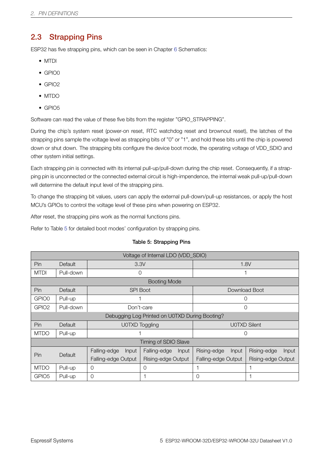# 2.3 Strapping Pins

ESP32 has five strapping pins, which can be seen in Chapter 6 Schematics:

- <span id="page-9-0"></span>• MTDI
- GPIO0
- GPIO2
- MTDO
- GPIO5

Software can read the value of these five bits from the register "GPIO\_STRAPPING".

During the chip's system reset (power-on reset, RTC watchdog reset and brownout reset), the latches of the strapping pins sample the voltage level as strapping bits of "0" or "1", and hold these bits until the chip is powered down or shut down. The strapping bits configure the device boot mode, the operating voltage of VDD\_SDIO and other system initial settings.

Each strapping pin is connected with its internal pull-up/pull-down during the chip reset. Consequently, if a strapping pin is unconnected or the connected external circuit is high-impendence, the internal weak pull-up/pull-down will determine the default input level of the strapping pins.

To change the strapping bit values, users can apply the external pull-down/pull-up resistances, or apply the host MCU's GPIOs to control the voltage level of these pins when powering on ESP32.

After reset, the strapping pins work as the normal functions pins.

Refer to Table 5 for detailed boot modes' configuration by strapping pins.

<span id="page-9-1"></span>

| Voltage of Internal LDO (VDD_SDIO) |                       |                     |                                                |                      |                             |  |  |
|------------------------------------|-----------------------|---------------------|------------------------------------------------|----------------------|-----------------------------|--|--|
| Pin.                               | Default               | 3.3V                |                                                | 1.8V                 |                             |  |  |
| <b>MTDI</b>                        | Pull-down             | 0                   |                                                |                      |                             |  |  |
|                                    |                       |                     | <b>Booting Mode</b>                            |                      |                             |  |  |
| Pin                                | Default               |                     | <b>SPI Boot</b>                                |                      | Download Boot               |  |  |
| GPIO0                              | Pull-up               |                     |                                                | 0                    |                             |  |  |
| GPIO <sub>2</sub>                  | Pull-down             |                     | Don't-care                                     | $\Omega$             |                             |  |  |
|                                    |                       |                     | Debugging Log Printed on U0TXD During Booting? |                      |                             |  |  |
| Pin.                               | Default               | U0TXD Toggling      |                                                | <b>UOTXD Silent</b>  |                             |  |  |
| <b>MTDO</b>                        | Pull-up               |                     |                                                | 0                    |                             |  |  |
|                                    |                       |                     | Timing of SDIO Slave                           |                      |                             |  |  |
| Pin                                | Falling-edge<br>Input |                     | Falling-edge<br>Input                          | Rising-edge<br>Input | Rising-edge<br><b>Input</b> |  |  |
|                                    | Default               | Falling-edge Output | Rising-edge Output                             | Falling-edge Output  | Rising-edge Output          |  |  |
| <b>MTDO</b>                        | Pull-up               | $\circ$             | $\Omega$                                       |                      |                             |  |  |
| GPIO <sub>5</sub>                  | Pull-up               | $\Omega$            |                                                | $\Omega$             |                             |  |  |

#### Table 5: Strapping Pins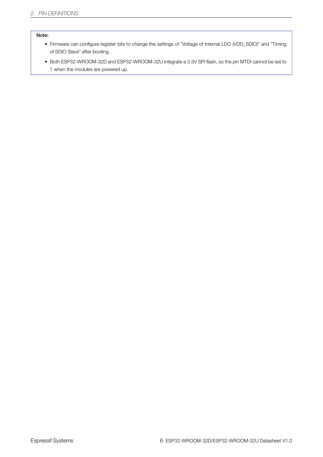#### Note:

- Firmware can configure register bits to change the settings of "Voltage of Internal LDO (VDD\_SDIO)" and "Timing of SDIO Slave" after booting.
- Both ESP32-WROOM-32D and ESP32-WROOM-32U integrate a 3.3V SPI flash, so the pin MTDI cannot be set to 1 when the modules are powered up.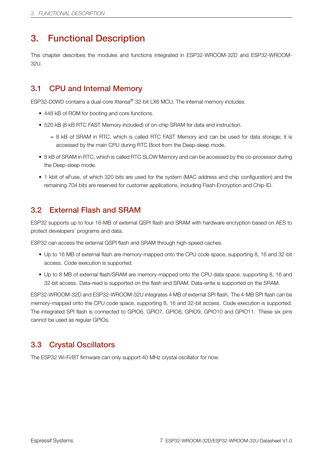# <span id="page-11-0"></span>3. Functional Description

This chapter describes the modules and functions integrated in ESP32-WROOM-32D and ESP32-WROOM-32U.

### <span id="page-11-1"></span>3.1 CPU and Internal Memory

ESP32-D0WD contains a dual-core Xtensa® 32-bit LX6 MCU. The internal memory includes:

- 448 kB of ROM for booting and core functions.
- 520 kB (8 kB RTC FAST Memory included) of on-chip SRAM for data and instruction.
	- 8 kB of SRAM in RTC, which is called RTC FAST Memory and can be used for data storage; it is accessed by the main CPU during RTC Boot from the Deep-sleep mode.
- 8 kB of SRAM in RTC, which is called RTC SLOW Memory and can be accessed by the co-processor during the Deep-sleep mode.
- 1 kbit of eFuse, of which 320 bits are used for the system (MAC address and chip configuration) and the remaining 704 bits are reserved for customer applications, including Flash-Encryption and Chip-ID.

### <span id="page-11-2"></span>3.2 External Flash and SRAM

ESP32 supports up to four 16-MB of external QSPI flash and SRAM with hardware encryption based on AES to protect developers' programs and data.

ESP32 can access the external QSPI flash and SRAM through high-speed caches.

- Up to 16 MB of external flash are memory-mapped onto the CPU code space, supporting 8, 16 and 32-bit access. Code execution is supported.
- Up to 8 MB of external flash/SRAM are memory-mapped onto the CPU data space, supporting 8, 16 and 32-bit access. Data-read is supported on the flash and SRAM. Data-write is supported on the SRAM.

ESP32-WROOM-32D and ESP32-WROOM-32U integrates 4 MB of external SPI flash. The 4-MB SPI flash can be memory-mapped onto the CPU code space, supporting 8, 16 and 32-bit access. Code execution is supported. The integrated SPI flash is connected to GPIO6, GPIO7, GPIO8, GPIO9, GPIO10 and GPIO11. These six pins cannot be used as regular GPIOs.

### <span id="page-11-3"></span>3.3 Crystal Oscillators

The ESP32 Wi-Fi/BT firmware can only support 40 MHz crystal oscillator for now.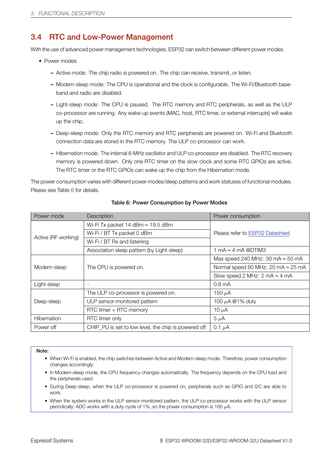### 3.4 RTC and Low-Power Management

With the use of advanced power management technologies, ESP32 can switch between different power modes.

- <span id="page-12-0"></span>• Power modes
	- Active mode: The chip radio is powered on. The chip can receive, transmit, or listen.
	- Modem-sleep mode: The CPU is operational and the clock is configurable. The Wi-Fi/Bluetooth baseband and radio are disabled.
	- Light-sleep mode: The CPU is paused. The RTC memory and RTC peripherals, as well as the ULP co-processor are running. Any wake-up events (MAC, host, RTC timer, or external interrupts) will wake up the chip.
	- Deep-sleep mode: Only the RTC memory and RTC peripherals are powered on. Wi-Fi and Bluetooth connection data are stored in the RTC memory. The ULP co-processor can work.
	- Hibernation mode: The internal 8-MHz oscillator and ULP co-processor are disabled. The RTC recovery memory is powered down. Only one RTC timer on the slow clock and some RTC GPIOs are active. The RTC timer or the RTC GPIOs can wake up the chip from the Hibernation mode.

The power consumption varies with different power modes/sleep patterns and work statuses of functional modules. Please see Table 6 for details.

<span id="page-12-1"></span>

| Power mode          | <b>Description</b>                                   | Power consumption                                  |  |
|---------------------|------------------------------------------------------|----------------------------------------------------|--|
|                     | Wi-Fi Tx packet 14 dBm ~ 19.5 dBm                    |                                                    |  |
| Active (RF working) | Wi-Fi / BT Tx packet 0 dBm                           | Please refer to ESP32 Datasheet.                   |  |
|                     | Wi-Fi / BT Rx and listening                          |                                                    |  |
|                     | Association sleep pattern (by Light-sleep)           | 1 mA $\sim$ 4 mA @DTIM3                            |  |
|                     |                                                      | Max speed 240 MHz: 30 mA $\sim$ 50 mA              |  |
| Modem-sleep         | The CPU is powered on.                               | Normal speed 80 MHz: 20 mA ~ 25 mA                 |  |
|                     |                                                      | Slow speed 2 MHz: $2 \text{ mA} \sim 4 \text{ mA}$ |  |
| Light-sleep         | $\overline{\phantom{a}}$                             | 0.8 <sub>mA</sub>                                  |  |
|                     | The ULP co-processor is powered on.                  | 150 $\mu$ A                                        |  |
| Deep-sleep          | ULP sensor-monitored pattern                         | 100 $\mu$ A @1% duty                               |  |
|                     | RTC timer + RTC memory                               | 10 $\mu$ A                                         |  |
| Hibernation         | RTC timer only                                       | $5 \mu A$                                          |  |
| Power off           | CHIP_PU is set to low level, the chip is powered off | 0.1 $\mu$ A                                        |  |

#### Table 6: Power Consumption by Power Modes

#### Note:

- When Wi-Fi is enabled, the chip switches between Active and Modem-sleep mode. Therefore, power consumption changes accordingly.
- In Modem-sleep mode, the CPU frequency changes automatically. The frequency depends on the CPU load and the peripherals used.
- During Deep-sleep, when the ULP co-processor is powered on, peripherals such as GPIO and I2C are able to work.
- When the system works in the ULP sensor-monitored pattern, the ULP co-processor works with the ULP sensor periodically; ADC works with a duty cycle of 1%, so the power consumption is 100 *µ*A.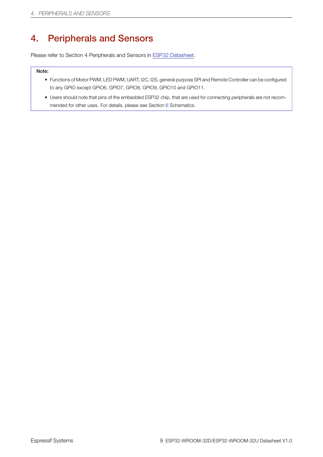# 4. Peripherals and Sensors

<span id="page-13-0"></span>Please refer to Section 4 Peripherals and Sensors in ESP32 Datasheet.

#### Note:

- Functions of Motor PWM, LED PWM, UART, I2C, I[2S, general purpose](http://espressif.com/sites/default/files/documentation/esp32_datasheet_en.pdf) SPI and Remote Controller can be configured to any GPIO except GPIO6, GPIO7, GPIO8, GPIO9, GPIO10 and GPIO11.
- Users should note that pins of the embedded ESP32 chip, that are used for connecting peripherals are not recommended for other uses. For details, please see Section 6 Schematics.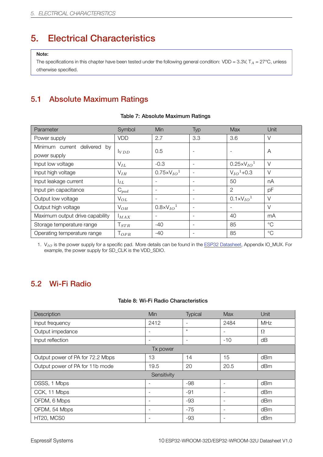# 5. Electrical Characteristics

#### Note:

<span id="page-14-0"></span>The specifications in this chapter have been tested under the following general condition: VDD = 3.3V, T*<sup>A</sup>* = 27°C, unless otherwise specified.

# 5.1 Absolute Maximum Ratings

<span id="page-14-3"></span><span id="page-14-1"></span>

| Parameter                       | Symbol          | <b>Min</b>                        | Typ                      | <b>Max</b>                 | Unit        |
|---------------------------------|-----------------|-----------------------------------|--------------------------|----------------------------|-------------|
| Power supply                    | <b>VDD</b>      | 2.7                               | 3.3                      | 3.6                        | $\vee$      |
| Minimum current delivered by    |                 | 0.5                               | $\overline{\phantom{0}}$ |                            | A           |
| power supply                    | VDD             |                                   |                          |                            |             |
| Input low voltage               | $V_{IL}$        | $-0.3$                            |                          | $0.25 \times V_{IO}^{-1}$  | $\vee$      |
| Input high voltage              | $V_{IH}$        | $0.75 \times V_{10}$ <sup>1</sup> | $\overline{\phantom{a}}$ | $V_{IO}$ <sup>1</sup> +0.3 | $\vee$      |
| Input leakage current           | $I_{IL}$        | $\overline{\phantom{a}}$          | $\overline{\phantom{a}}$ | 50                         | nA          |
| Input pin capacitance           | $C_{pad}$       |                                   | $\overline{\phantom{a}}$ | 2                          | pF          |
| Output low voltage              | $V_{OL}$        | $\overline{\phantom{a}}$          | $\overline{\phantom{a}}$ | $0.1 \times V_{IO}^{-1}$   | $\vee$      |
| Output high voltage             | $V_{OH}$        | $0.8 \times V_{IO}$ <sup>1</sup>  |                          |                            | $\vee$      |
| Maximum output drive capability | MAX             | $\overline{\phantom{a}}$          | $\overline{\phantom{a}}$ | 40                         | mA          |
| Storage temperature range       | ${\sf T}_{STR}$ | $-40$                             | $\overline{\phantom{a}}$ | 85                         | $^{\circ}C$ |
| Operating temperature range     | $T_{OPR}$       | $-40$                             | ٠                        | 85                         | $^{\circ}C$ |

#### Table 7: Absolute Maximum Ratings

1. V*IO* is the power supply for a specific pad. More details can be found in the ESP32 Datasheet, Appendix IO\_MUX. For example, the power supply for SD\_CLK is the VDD\_SDIO.

### 5.2 Wi-Fi Radio

#### Table 8: Wi-Fi Radio Characteristics

<span id="page-14-2"></span>

| Description                      | Min                      | Typical                  | Max                          | Unit       |
|----------------------------------|--------------------------|--------------------------|------------------------------|------------|
| Input frequency                  | 2412                     | ٠                        | 2484                         | <b>MHz</b> |
| Output impedance                 | ٠                        | $\star$                  | $\overline{\phantom{a}}$     | $\Omega$   |
| Input reflection                 | $\overline{\phantom{0}}$ | $\overline{\phantom{a}}$ | $-10$                        | dB         |
|                                  | Tx power                 |                          |                              |            |
| Output power of PA for 72.2 Mbps | 13                       | 14                       | 15                           | dBm        |
| Output power of PA for 11b mode  | 19.5                     | 20                       | 20.5                         | dBm        |
|                                  | Sensitivity              |                          |                              |            |
| DSSS, 1 Mbps                     |                          | $-98$                    | $\overline{\phantom{0}}$     | dBm        |
| CCK, 11 Mbps                     | $\overline{\phantom{0}}$ | $-91$                    | $\qquad \qquad \blacksquare$ | dBm        |
| OFDM, 6 Mbps                     | $\overline{\phantom{a}}$ | $-93$                    | $\overline{\phantom{a}}$     | dBm        |
| OFDM, 54 Mbps                    | $\qquad \qquad$          | $-75$                    | $\qquad \qquad \blacksquare$ | dBm        |
| HT20, MCS0                       | ۰                        | -93                      |                              | dBm        |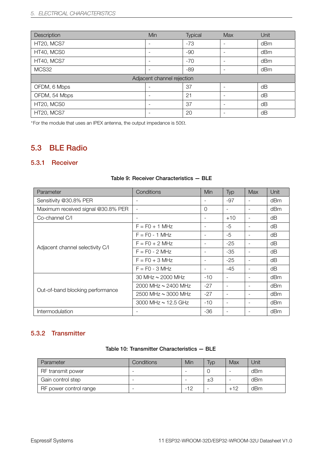| Description                | Min                      | Typical | Max                      | Unit |  |  |
|----------------------------|--------------------------|---------|--------------------------|------|--|--|
| HT20, MCS7                 | $\overline{\phantom{0}}$ | $-73$   | $\overline{\phantom{a}}$ | dBm  |  |  |
| HT40, MCS0                 | $\overline{\phantom{a}}$ | $-90$   | $\overline{\phantom{a}}$ | dBm  |  |  |
| HT40, MCS7                 | $\overline{\phantom{0}}$ | $-70$   |                          | dBm  |  |  |
| MCS32                      |                          | $-89$   | $\overline{\phantom{a}}$ | dBm  |  |  |
| Adjacent channel rejection |                          |         |                          |      |  |  |
| OFDM, 6 Mbps               |                          | 37      |                          | dB   |  |  |
| OFDM, 54 Mbps              |                          | 21      | $\overline{\phantom{a}}$ | dB   |  |  |
| HT20, MCS0                 |                          | 37      | $\overline{\phantom{a}}$ | dB   |  |  |
| HT20, MCS7                 |                          | 20      |                          | dB   |  |  |

*∗* For the module that uses an IPEX antenna, the output impedance is 50Ω.

### <span id="page-15-0"></span>5.3 BLE Radio

#### <span id="page-15-1"></span>5.3.1 Receiver

| Parameter                          | Conditions               | Min                      | Typ                      | <b>Max</b> | Unit |
|------------------------------------|--------------------------|--------------------------|--------------------------|------------|------|
| Sensitivity @30.8% PER             |                          | $\overline{\phantom{a}}$ | $-97$                    |            | dBm  |
| Maximum received signal @30.8% PER | $\sim$                   | $\Omega$                 | ÷                        |            | dBm  |
| Co-channel C/I                     | $\overline{\phantom{a}}$ | $\qquad \qquad -$        | $+10$                    |            | dB   |
| Adjacent channel selectivity C/I   | $F = FO + 1 MHz$         | $\overline{\phantom{a}}$ | $-5$                     |            | dB   |
|                                    | $F = FO - 1 MHz$         | $\qquad \qquad -$        | $-5$                     |            | dB   |
|                                    | $F = F0 + 2 MHz$         |                          | $-25$                    |            | dB   |
|                                    | $F = FO - 2 MHz$         | $\overline{\phantom{a}}$ | $-35$                    |            | dΒ   |
|                                    | $F = FO + 3 MHz$         | $\overline{\phantom{a}}$ | $-25$                    |            | dB   |
|                                    | $F = FO - 3 MHz$         | $\overline{\phantom{a}}$ | -45                      |            | dB   |
| Out-of-band blocking performance   | 30 MHz $\sim$ 2000 MHz   | $-10$                    | $\overline{\phantom{a}}$ |            | dBm  |
|                                    | 2000 MHz $\sim$ 2400 MHz | $-27$                    | $\overline{\phantom{0}}$ |            | dBm  |
|                                    | 2500 MHz ~ 3000 MHz      | $-27$                    | $\overline{\phantom{a}}$ | -          | dBm  |
|                                    | 3000 MHz $\sim$ 12.5 GHz | $-10$                    | $\overline{\phantom{a}}$ | -          | dBm  |
| Intermodulation                    |                          | $-36$                    | $\overline{\phantom{a}}$ |            | dBm  |

#### Table 9: Receiver Characteristics — BLE

### <span id="page-15-2"></span>5.3.2 Transmitter

| Table 10: Transmitter Characteristics - BLE |  |
|---------------------------------------------|--|
|---------------------------------------------|--|

| Parameter              | Conditions               | Min   | <b>Typ</b>               | Max   | Unit |
|------------------------|--------------------------|-------|--------------------------|-------|------|
| RF transmit power      |                          |       |                          | -     | dBm  |
| Gain control step      | -                        |       | ±З                       |       | dBm  |
| RF power control range | $\overline{\phantom{0}}$ | $-12$ | $\overline{\phantom{0}}$ | $+12$ | dBm  |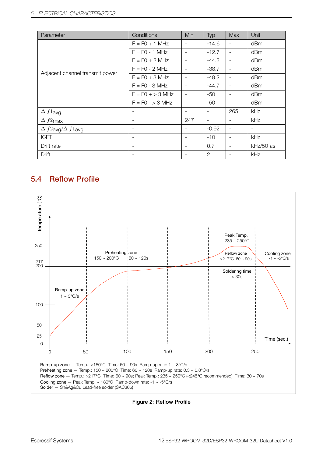| Parameter                        | Conditions               | Min                      | Typ                      | <b>Max</b>               | Unit                     |
|----------------------------------|--------------------------|--------------------------|--------------------------|--------------------------|--------------------------|
| Adjacent channel transmit power  | $F = F0 + 1 MHz$         | $\overline{\phantom{a}}$ | $-14.6$                  | $\overline{\phantom{a}}$ | dBm                      |
|                                  | $F = FO - 1 MHz$         | $\overline{\phantom{a}}$ | $-12.7$                  | $\overline{\phantom{a}}$ | dBm                      |
|                                  | $F = F0 + 2 MHz$         | $\overline{\phantom{a}}$ | $-44.3$                  | $\overline{\phantom{a}}$ | dBm                      |
|                                  | $F = F0 - 2 MHz$         | $\overline{\phantom{a}}$ | $-38.7$                  | $\overline{\phantom{a}}$ | dBm                      |
|                                  | $F = FO + 3 MHz$         | $\overline{\phantom{a}}$ | $-49.2$                  | $\overline{\phantom{a}}$ | dBm                      |
|                                  | $F = F0 - 3 MHz$         | $\sim$                   | $-44.7$                  | $\overline{\phantom{a}}$ | dBm                      |
|                                  | $F = FO + > 3 MHz$       | $\overline{\phantom{a}}$ | $-50$                    | $\overline{\phantom{a}}$ | dBm                      |
|                                  | $F = FO - > 3 MHz$       | $\overline{\phantom{a}}$ | -50                      | $\overline{\phantom{a}}$ | dBm                      |
| $\Delta f1$ avg                  |                          | $\overline{\phantom{a}}$ | $\overline{\phantom{a}}$ | 265                      | kHz                      |
| $\Delta f2$ max                  | $\overline{\phantom{a}}$ | 247                      | $\overline{\phantom{a}}$ | $\overline{\phantom{a}}$ | kHz                      |
| $\Delta f2$ avg $/\Delta f1$ avg | $\overline{\phantom{a}}$ | $\overline{\phantom{a}}$ | $-0.92$                  | $\overline{\phantom{a}}$ | $\overline{\phantom{a}}$ |
| <b>ICFT</b>                      | $\overline{\phantom{a}}$ | $\overline{\phantom{a}}$ | $-10$                    | $\overline{\phantom{a}}$ | kHz                      |
| Drift rate                       | $\overline{\phantom{a}}$ | $\overline{\phantom{a}}$ | 0.7                      | $\overline{\phantom{a}}$ | kHz/50 $\mu$ s           |
| Drift                            | $\overline{\phantom{a}}$ | $\overline{\phantom{a}}$ | 2                        | $\overline{\phantom{a}}$ | kHz                      |

## <span id="page-16-0"></span>5.4 Reflow Profile

<span id="page-16-1"></span>

Figure 2: Reflow Profile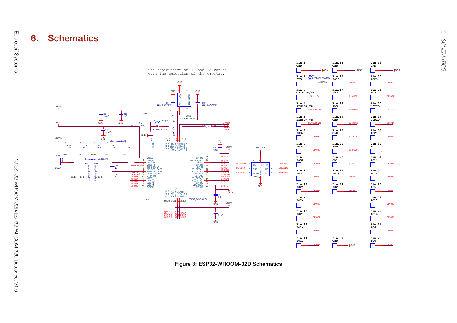

<span id="page-17-0"></span>Figure 3: ESP32-WROOM-32D Schematics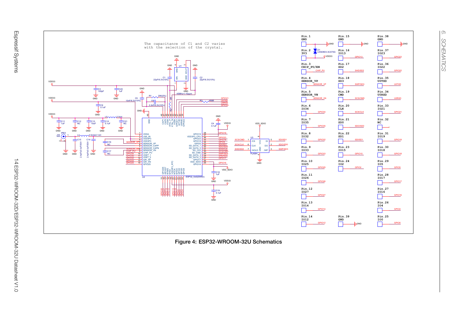

*6. SCHEMATICS*

**SCHEMATICS** 

 $\overline{\circ}$ 

<span id="page-18-0"></span>Figure 4: ESP32-WROOM-32U Schematics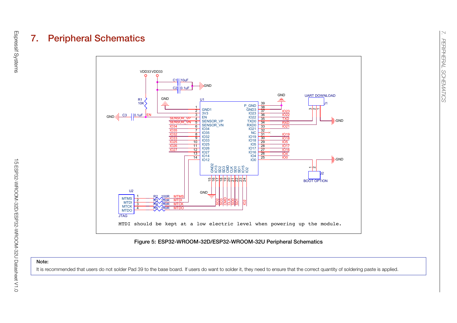

#### Figure 5: ESP32-WROOM-32D/ESP32-WROOM-32U Peripheral Schematics

#### Note:

<span id="page-19-0"></span>It is recommended that users do not solder Pad 39 to the base board. If users do want to solder it, they need to ensure that the correct quantity of soldering paste is applied.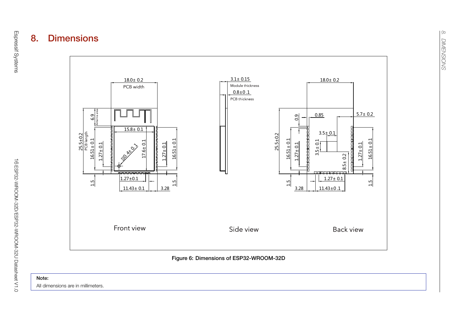



<span id="page-20-0"></span>All dimensions are in millimeters.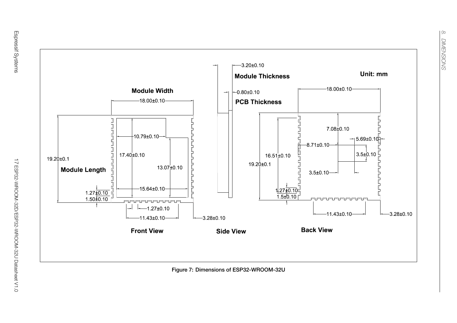

Figure 7: Dimensions of ESP32-WROOM-32U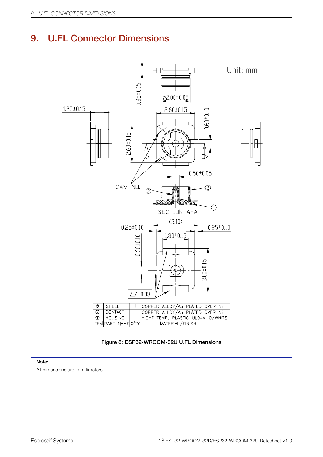# <span id="page-22-0"></span>9. U.FL Connector Dimensions



#### Figure 8: ESP32-WROOM-32U U.FL Dimensions

### Note:

All dimensions are in millimeters.